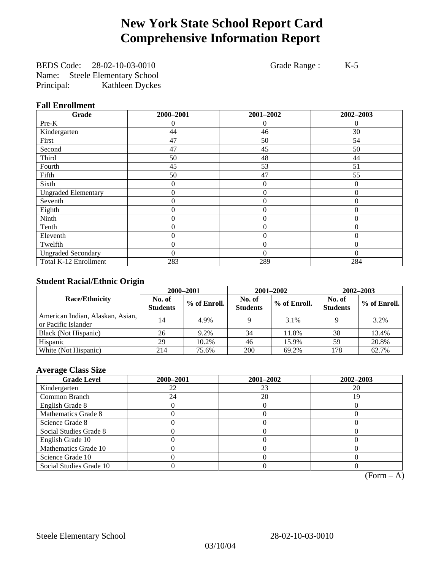# **New York State School Report Card Comprehensive Information Report**

BEDS Code: 28-02-10-03-0010 Grade Range : K-5 Name: Steele Elementary School Principal: Kathleen Dyckes

### **Fall Enrollment**

| Grade                      | 2000-2001        | 2001-2002        | 2002-2003    |
|----------------------------|------------------|------------------|--------------|
| Pre-K                      | 0                | $\Omega$         | $\theta$     |
| Kindergarten               | 44               | 46               | 30           |
| First                      | 47               | 50               | 54           |
| Second                     | 47               | 45               | 50           |
| Third                      | 50               | 48               | 44           |
| Fourth                     | 45               | 53               | 51           |
| Fifth                      | 50               | 47               | 55           |
| Sixth                      | 0                | $\overline{0}$   | $\Omega$     |
| <b>Ungraded Elementary</b> | $\theta$         | $\overline{0}$   | $\Omega$     |
| Seventh                    | $\boldsymbol{0}$ | $\mathbf{0}$     | $\theta$     |
| Eighth                     | 0                | $\overline{0}$   | $\Omega$     |
| Ninth                      | 0                | $\overline{0}$   | $\theta$     |
| Tenth                      | 0                | $\overline{0}$   | $\Omega$     |
| Eleventh                   | 0                | $\overline{0}$   | 0            |
| Twelfth                    | 0                | $\boldsymbol{0}$ | $\mathbf{0}$ |
| <b>Ungraded Secondary</b>  | 0                | $\Omega$         | $\Omega$     |
| Total K-12 Enrollment      | 283              | 289              | 284          |

### **Student Racial/Ethnic Origin**

|                                                         | 2000-2001                 |              |                           | 2001-2002    | $2002 - 2003$             |                |
|---------------------------------------------------------|---------------------------|--------------|---------------------------|--------------|---------------------------|----------------|
| <b>Race/Ethnicity</b>                                   | No. of<br><b>Students</b> | % of Enroll. | No. of<br><b>Students</b> | % of Enroll. | No. of<br><b>Students</b> | $%$ of Enroll. |
| American Indian, Alaskan, Asian,<br>or Pacific Islander | 14                        | 4.9%         |                           | 3.1%         |                           | 3.2%           |
| Black (Not Hispanic)                                    | 26                        | 9.2%         | 34                        | 11.8%        | 38                        | 13.4%          |
| Hispanic                                                | 29                        | 10.2%        | 46                        | 15.9%        | 59                        | 20.8%          |
| White (Not Hispanic)                                    | 214                       | 75.6%        | 200                       | 69.2%        | 178                       | 62.7%          |

### **Average Class Size**

| <b>Grade Level</b>      | 2000-2001 | 2001-2002 | 2002-2003 |
|-------------------------|-----------|-----------|-----------|
| Kindergarten            | 22        | 23        | 20        |
| Common Branch           | 24        | 20        | 19        |
| English Grade 8         |           |           |           |
| Mathematics Grade 8     |           |           |           |
| Science Grade 8         |           |           |           |
| Social Studies Grade 8  |           |           |           |
| English Grade 10        |           |           |           |
| Mathematics Grade 10    |           |           |           |
| Science Grade 10        |           |           |           |
| Social Studies Grade 10 |           |           |           |

 $(Form - A)$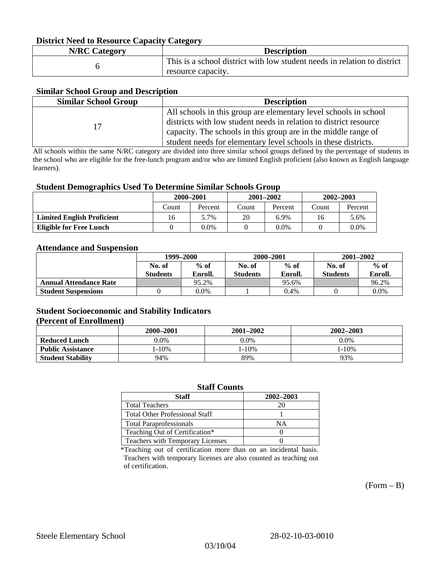### **District Need to Resource Capacity Category**

| <b>N/RC Category</b> | <b>Description</b>                                                                             |
|----------------------|------------------------------------------------------------------------------------------------|
|                      | This is a school district with low student needs in relation to district<br>resource capacity. |

### **Similar School Group and Description**

| <b>Similar School Group</b> | <b>Description</b>                                                |
|-----------------------------|-------------------------------------------------------------------|
|                             | All schools in this group are elementary level schools in school  |
| 17                          | districts with low student needs in relation to district resource |
|                             | capacity. The schools in this group are in the middle range of    |
|                             | student needs for elementary level schools in these districts.    |

All schools within the same N/RC category are divided into three similar school groups defined by the percentage of students in the school who are eligible for the free-lunch program and/or who are limited English proficient (also known as English language learners).

#### **Student Demographics Used To Determine Similar Schools Group**

|                                   | 2000-2001 |         | $2001 - 2002$ |         | $2002 - 2003$ |         |
|-----------------------------------|-----------|---------|---------------|---------|---------------|---------|
|                                   | Count     | Percent | Count         | Percent | Count         | Percent |
| <b>Limited English Proficient</b> | 16        | 5.7%    | 20            | 6.9%    | 16            | 5.6%    |
| Eligible for Free Lunch           |           | 0.0%    |               | 0.0%    |               | $0.0\%$ |

#### **Attendance and Suspension**

|                               | 1999–2000<br>$%$ of<br>No. of |         | 2000-2001        |         | $2001 - 2002$   |         |
|-------------------------------|-------------------------------|---------|------------------|---------|-----------------|---------|
|                               |                               |         | $%$ of<br>No. of |         | No. of          | $%$ of  |
|                               | <b>Students</b>               | Enroll. | <b>Students</b>  | Enroll. | <b>Students</b> | Enroll. |
| <b>Annual Attendance Rate</b> |                               | 95.2%   |                  | 95.6%   |                 | 96.2%   |
| <b>Student Suspensions</b>    |                               | 0.0%    |                  | 0.4%    |                 | 0.0%    |

### **Student Socioeconomic and Stability Indicators (Percent of Enrollment)**

|                          | 2000-2001 | 2001–2002 | 2002-2003 |
|--------------------------|-----------|-----------|-----------|
| <b>Reduced Lunch</b>     | $0.0\%$   | $0.0\%$   | $0.0\%$   |
| <b>Public Assistance</b> | $-10%$    | 1-10%     | $-10%$    |
| <b>Student Stability</b> | 94%       | 89%       | 93%       |

#### **Staff Counts**

| Staff                                   | 2002-2003 |
|-----------------------------------------|-----------|
| <b>Total Teachers</b>                   | 20        |
| <b>Total Other Professional Staff</b>   |           |
| <b>Total Paraprofessionals</b>          | NΑ        |
| Teaching Out of Certification*          |           |
| <b>Teachers with Temporary Licenses</b> |           |

\*Teaching out of certification more than on an incidental basis. Teachers with temporary licenses are also counted as teaching out of certification.

 $(Form - B)$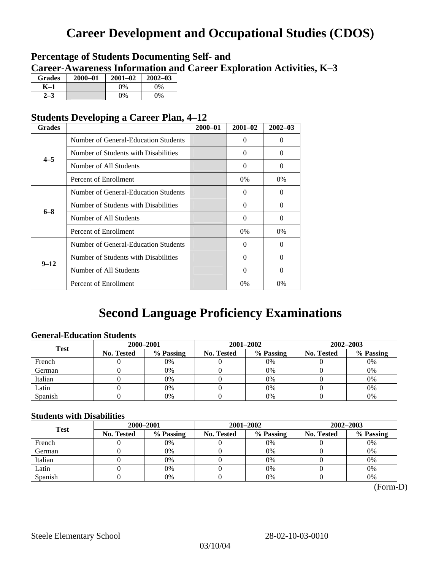# **Career Development and Occupational Studies (CDOS)**

### **Percentage of Students Documenting Self- and Career-Awareness Information and Career Exploration Activities, K–3**

| <b>Grades</b> | $2000 - 01$ | $2001 - 02$ | $2002 - 03$ |
|---------------|-------------|-------------|-------------|
| K-1           |             | 0%          | $0\%$       |
| 72            |             | $0\%$       | $0\%$       |

### **Students Developing a Career Plan, 4–12**

| <b>Grades</b> |                                      | $2000 - 01$ | $2001 - 02$ | $2002 - 03$ |
|---------------|--------------------------------------|-------------|-------------|-------------|
|               | Number of General-Education Students |             | $\Omega$    | 0           |
| $4 - 5$       | Number of Students with Disabilities |             | $\Omega$    | 0           |
|               | Number of All Students               |             | 0           | 0           |
|               | Percent of Enrollment                |             | 0%          | 0%          |
|               | Number of General-Education Students |             | $\Omega$    | 0           |
| $6 - 8$       | Number of Students with Disabilities |             | $\Omega$    | $\Omega$    |
|               | Number of All Students               |             | $\Omega$    | $\Omega$    |
|               | Percent of Enrollment                |             | $0\%$       | $0\%$       |
|               | Number of General-Education Students |             | $\Omega$    | 0           |
| $9 - 12$      | Number of Students with Disabilities |             | 0           | 0           |
|               | Number of All Students               |             | $\Omega$    | $\theta$    |
|               | Percent of Enrollment                |             | $0\%$       | $0\%$       |

# **Second Language Proficiency Examinations**

### **General-Education Students**

| <b>Test</b> | 2000-2001         |           |            | 2001-2002 | $2002 - 2003$ |           |
|-------------|-------------------|-----------|------------|-----------|---------------|-----------|
|             | <b>No. Tested</b> | % Passing | No. Tested | % Passing | No. Tested    | % Passing |
| French      |                   | 0%        |            | 0%        |               | 0%        |
| German      |                   | 0%        |            | $0\%$     |               | 0%        |
| Italian     |                   | 0%        |            | 0%        |               | 0%        |
| Latin       |                   | 0%        |            | 0%        |               | 0%        |
| Spanish     |                   | 0%        |            | 0%        |               | 0%        |

### **Students with Disabilities**

| <b>Test</b> | 2000-2001  |           |            | 2001-2002 | 2002-2003  |           |  |
|-------------|------------|-----------|------------|-----------|------------|-----------|--|
|             | No. Tested | % Passing | No. Tested | % Passing | No. Tested | % Passing |  |
| French      |            | 0%        |            | 0%        |            | 0%        |  |
| German      |            | 0%        |            | $0\%$     |            | 0%        |  |
| Italian     |            | 0%        |            | 0%        |            | 0%        |  |
| Latin       |            | 0%        |            | 0%        |            | 0%        |  |
| Spanish     |            | 0%        |            | 0%        |            | 0%        |  |

 <sup>(</sup>Form-D)